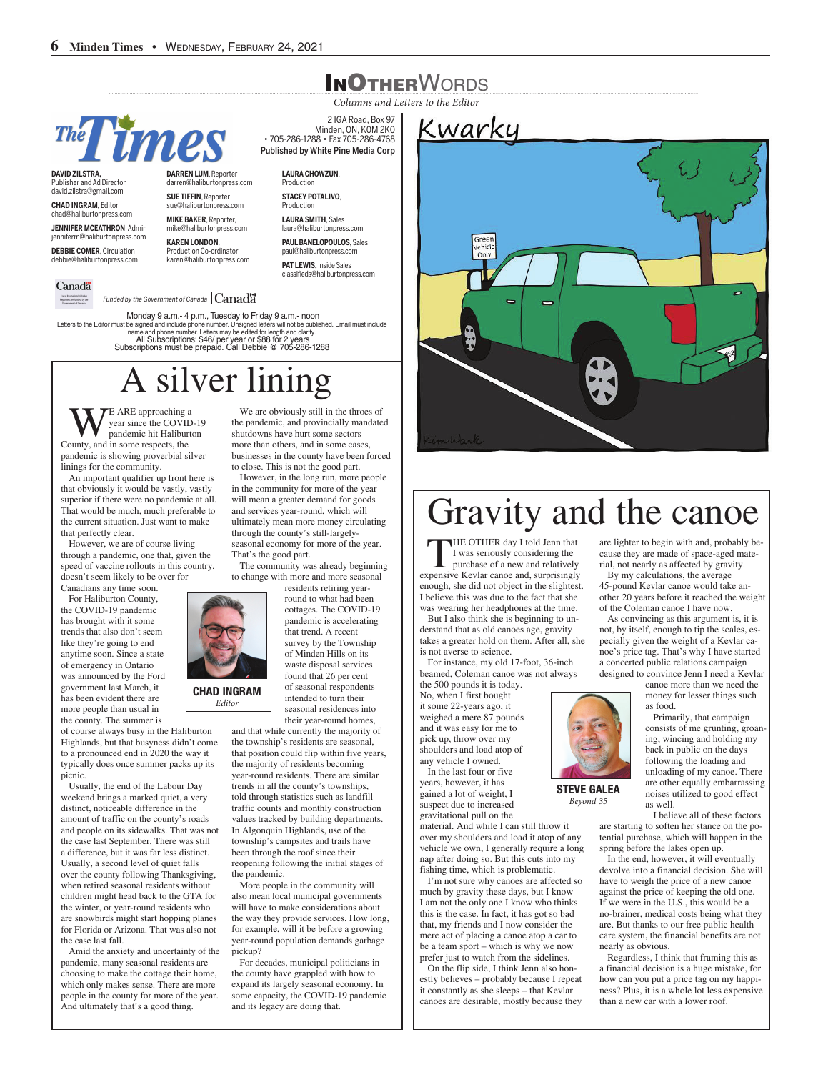#### **INOTHERWORDS**

*Columns and Letters to the Editor*

2 IGA Road, Box 97 Minden, ON, K0M 2K0

The Times

**DAVID ZILSTRA,**  Publisher and Ad Director, david.zilstra@gmail.com

**CHAD INGRAM,** Editor chad@haliburtonpress.com

**JENNIFER MCEATHRON**, Admin jenniferm@haliburtonpress.com

**DEBBIE COMER**, Circulation debbie@haliburtonpress.com

**DARREN LUM**, Reporter darren@haliburtonpress.com **SUE TIFFIN**, Reporter

sue@haliburtonpress.com **MIKE BAKER**, Reporter,

mike@haliburtonpress.com **KAREN LONDON**, Production Co-ordinator karen@haliburtonpress.com **LAURA CHOWZUN**, Production

• 705-286-1288 • Fax 705-286-4768 Published by White Pine Media Corp

> **STACEY POTALIVO**, Production

We are obviously still in the throes of the pandemic, and provincially mandated shutdowns have hurt some sectors more than others, and in some cases, businesses in the county have been forced to close. This is not the good part.

However, in the long run, more people in the community for more of the year will mean a greater demand for goods and services year-round, which will ultimately mean more money circulating through the county's still-largelyseasonal economy for more of the year.

**LAURA SMITH**, Sales laura@haliburtonpress.com **PAUL BANELOPOULOS,** Sales

paul@haliburtonpress.com **PAT LEWIS,** Inside Sales classifieds@haliburtonpress.com

#### Canada

*Funded by the Government of Canada*  $\vert$  **Canada** 

 Monday 9 a.m.- 4 p.m., Tuesday to Friday 9 a.m.- noon Letters to the Editor must be signed and include phone number. Unsigned letters will not be published. Email must include name and phone number. Letters may be edited for length and clarity. All Subscriptions: \$46/ per year or \$88 for 2 years Subscriptions must be prepaid. Call Debbie @ 705-286-1288

## A silver lining

WE ARE approaching a<br>pandemic hit Haliburto<br>punty and in some respects the year since the COVID-19 pandemic hit Haliburton County, and in some respects, the pandemic is showing proverbial silver linings for the community.

An important qualifier up front here is that obviously it would be vastly, vastly superior if there were no pandemic at all. That would be much, much preferable to the current situation. Just want to make that perfectly clear.

However, we are of course living through a pandemic, one that, given the speed of vaccine rollouts in this country, doesn't seem likely to be over for Canadians any time soon.

For Haliburton County, the COVID-19 pandemic has brought with it some trends that also don't seem like they're going to end anytime soon. Since a state of emergency in Ontario was announced by the Ford government last March, it has been evident there are more people than usual in the county. The summer is

of course always busy in the Haliburton Highlands, but that busyness didn't come to a pronounced end in 2020 the way it typically does once summer packs up its picnic.

Usually, the end of the Labour Day weekend brings a marked quiet, a very distinct, noticeable difference in the amount of traffic on the county's roads and people on its sidewalks. That was not the case last September. There was still a difference, but it was far less distinct. Usually, a second level of quiet falls over the county following Thanksgiving, when retired seasonal residents without children might head back to the GTA for the winter, or year-round residents who are snowbirds might start hopping planes for Florida or Arizona. That was also not the case last fall.

Amid the anxiety and uncertainty of the pandemic, many seasonal residents are choosing to make the cottage their home, which only makes sense. There are more people in the county for more of the year. And ultimately that's a good thing.



That's the good part.

**CHAD INGRAM** *Editor*

survey by the Township of Minden Hills on its

> waste disposal services found that 26 per cent of seasonal respondents intended to turn their seasonal residences into

their year-round homes,

and that while currently the majority of the township's residents are seasonal, that position could flip within five years, the majority of residents becoming year-round residents. There are similar trends in all the county's townships, told through statistics such as landfill traffic counts and monthly construction values tracked by building departments. In Algonquin Highlands, use of the township's campsites and trails have been through the roof since their reopening following the initial stages of the pandemic.

More people in the community will also mean local municipal governments will have to make considerations about the way they provide services. How long, for example, will it be before a growing year-round population demands garbage pickup?

For decades, municipal politicians in the county have grappled with how to expand its largely seasonal economy. In some capacity, the COVID-19 pandemic and its legacy are doing that.



### Gravity and the canoe

THE OTHER day I told Jenn that I was seriously considering the purchase of a new and relatively expensive Kevlar canoe and, surprisingly enough, she did not object in the slightest. I believe this was due to the fact that she was wearing her headphones at the time.

But I also think she is beginning to understand that as old canoes age, gravity takes a greater hold on them. After all, she is not averse to science.

For instance, my old 17-foot, 36-inch beamed, Coleman canoe was not always the 500 pounds it is today.

No, when I first bought it some 22-years ago, it weighed a mere 87 pounds and it was easy for me to pick up, throw over my shoulders and load atop of any vehicle I owned.

In the last four or five years, however, it has gained a lot of weight, I suspect due to increased gravitational pull on the material. And while I can still throw it

over my shoulders and load it atop of any vehicle we own, I generally require a long nap after doing so. But this cuts into my fishing time, which is problematic.

I'm not sure why canoes are affected so much by gravity these days, but I know I am not the only one I know who thinks this is the case. In fact, it has got so bad that, my friends and I now consider the mere act of placing a canoe atop a car to be a team sport – which is why we now prefer just to watch from the sidelines.

On the flip side, I think Jenn also honestly believes – probably because I repeat it constantly as she sleeps – that Kevlar canoes are desirable, mostly because they are lighter to begin with and, probably because they are made of space-aged material, not nearly as affected by gravity. By my calculations, the average

45-pound Kevlar canoe would take another 20 years before it reached the weight of the Coleman canoe I have now.

As convincing as this argument is, it is not, by itself, enough to tip the scales, especially given the weight of a Kevlar canoe's price tag. That's why I have started a concerted public relations campaign designed to convince Jenn I need a Kevlar

canoe more than we need the money for lesser things such as food.

Primarily, that campaign consists of me grunting, groaning, wincing and holding my back in public on the days following the loading and unloading of my canoe. There are other equally embarrassing noises utilized to good effect as well.

I believe all of these factors are starting to soften her stance on the potential purchase, which will happen in the spring before the lakes open up.

In the end, however, it will eventually devolve into a financial decision. She will have to weigh the price of a new canoe against the price of keeping the old one. If we were in the U.S., this would be a no-brainer, medical costs being what they are. But thanks to our free public health care system, the financial benefits are not nearly as obvious.

Regardless, I think that framing this as a financial decision is a huge mistake, for how can you put a price tag on my happiness? Plus, it is a whole lot less expensive than a new car with a lower roof.



**STEVE GALEA** *Beyond 35*

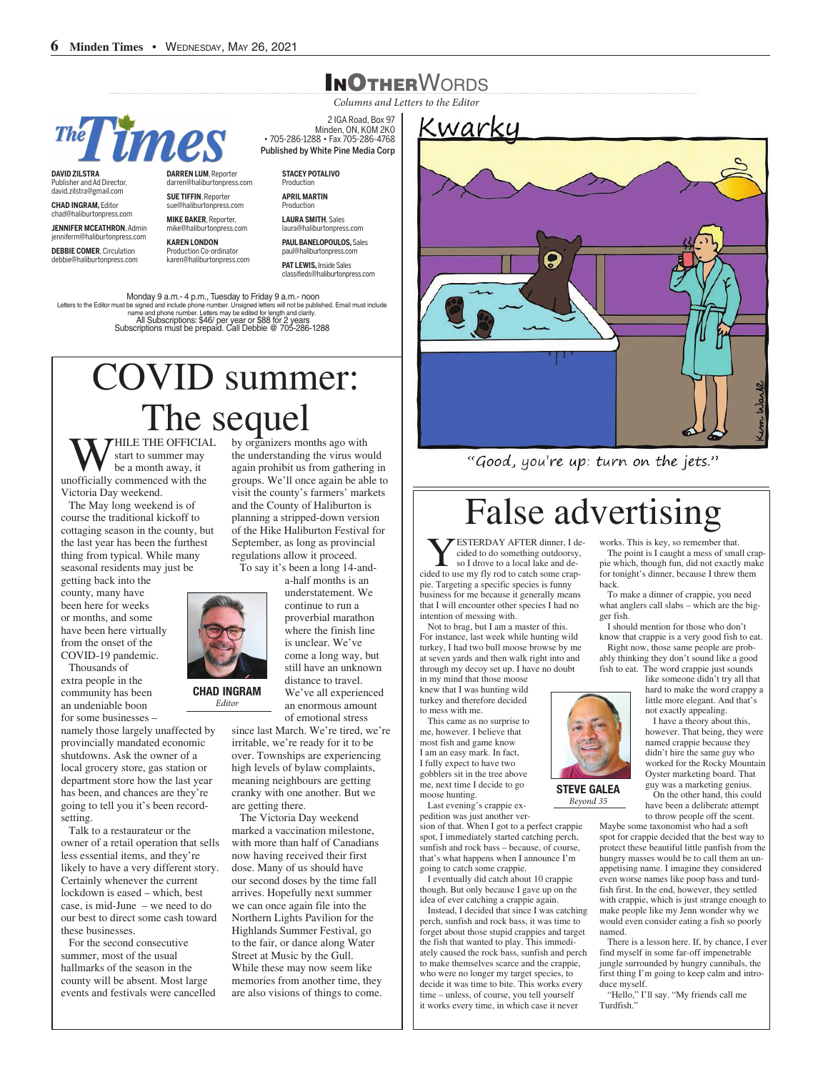#### **INOTHERWORDS**

*Columns and Letters to the Editor*

2 IGA Road, Box 97 Minden, ON, K0M 2K0

# The Times

**DAVID ZILSTRA**  Publisher and Ad Director, david.zilstra@gmail.com

**CHAD INGRAM,** Editor chad@haliburtonpress.com

**JENNIFER MCEATHRON**, Admin jenniferm@haliburtonpress.com

**DEBBIE COMER**, Circulation debbie@haliburtonpress.com

**DARREN LUM**, Reporter darren@haliburtonpress.com **SUE TIFFIN**, Reporter

sue@haliburtonpress.com

**MIKE BAKER**, Reporter, mike@haliburtonpress.com **KAREN LONDON**

Production Co-ordinator karen@haliburtonpress.com **APRIL MARTIN** Production **LAURA SMITH**, Sales laura@haliburtonpress.com

**STACEY POTALIVO** Production

• 705-286-1288 • Fax 705-286-4768 Published by White Pine Media Corp

> **PAUL BANELOPOULOS,** Sales paul@haliburtonpress.com

**PAT LEWIS,** Inside Sales classifieds@haliburtonpress.com

Monday 9 a.m.- 4 p.m., Tuesday to Friday 9 a.m.- noon<br>Letters to the Editor must be signed and include phone number. Unsigned letters will not be published. Email must include<br>name and phone number. Letters may be edited f All Subscriptions: \$46/ per year or \$88 for 2 years Subscriptions must be prepaid. Call Debbie @ 705-286-1288

#### COVID summer: The sequel

HILE THE OFFICIAL start to summer may be a month away, it unofficially commenced with the Victoria Day weekend.

The May long weekend is of course the traditional kickoff to cottaging season in the county, but the last year has been the furthest thing from typical. While many seasonal residents may just be

getting back into the county, many have been here for weeks or months, and some have been here virtually from the onset of the COVID-19 pandemic.

Thousands of extra people in the community has been an undeniable boon for some businesses –

namely those largely unaffected by provincially mandated economic shutdowns. Ask the owner of a local grocery store, gas station or department store how the last year has been, and chances are they're going to tell you it's been recordsetting.

Talk to a restaurateur or the owner of a retail operation that sells less essential items, and they're likely to have a very different story. Certainly whenever the current lockdown is eased – which, best case, is mid-June – we need to do our best to direct some cash toward these businesses.

For the second consecutive summer, most of the usual hallmarks of the season in the county will be absent. Most large events and festivals were cancelled



**CHAD INGRAM** *Editor*

of emotional stress

The Victoria Day weekend



"Good, you're up: turn on the jets."

### False advertising

**STEVE GALEA** *Beyond 35*

YESTERDAY AFTER dinner, I decided to do something outdoorsy, so I drove to a local lake and decided to use my fly rod to catch some crappie. Targeting a specific species is funny business for me because it generally means that I will encounter other species I had no intention of messing with.

Not to brag, but I am a master of this. For instance, last week while hunting wild turkey, I had two bull moose browse by me at seven yards and then walk right into and through my decoy set up. I have no doubt

in my mind that those moose knew that I was hunting wild turkey and therefore decided to mess with me.

This came as no surprise to me, however. I believe that most fish and game know I am an easy mark. In fact, I fully expect to have two gobblers sit in the tree above me, next time I decide to go moose hunting.

Last evening's crappie expedition was just another version of that. When I got to a perfect crappie spot, I immediately started catching perch, sunfish and rock bass – because, of course, that's what happens when I announce I'm going to catch some crappie.

I eventually did catch about 10 crappie though. But only because I gave up on the idea of ever catching a crappie again.

Instead, I decided that since I was catching perch, sunfish and rock bass, it was time to forget about those stupid crappies and target the fish that wanted to play. This immediately caused the rock bass, sunfish and perch to make themselves scarce and the crappie, who were no longer my target species, to decide it was time to bite. This works every time – unless, of course, you tell yourself it works every time, in which case it never

works. This is key, so remember that. The point is I caught a mess of small crappie which, though fun, did not exactly make for tonight's dinner, because I threw them back.

To make a dinner of crappie, you need what anglers call slabs – which are the bigger fish.

I should mention for those who don't know that crappie is a very good fish to eat. Right now, those same people are probably thinking they don't sound like a good

fish to eat. The word crappie just sounds like someone didn't try all that hard to make the word crappy a little more elegant. And that's not exactly appealing.

I have a theory about this, however. That being, they were named crappie because they didn't hire the same guy who worked for the Rocky Mountain Oyster marketing board. That guy was a marketing genius.

On the other hand, this could have been a deliberate attempt to throw people off the scent.

Maybe some taxonomist who had a soft spot for crappie decided that the best way to protect these beautiful little panfish from the hungry masses would be to call them an unappetising name. I imagine they considered even worse names like poop bass and turdfish first. In the end, however, they settled with crappie, which is just strange enough to make people like my Jenn wonder why we would even consider eating a fish so poorly named.

There is a lesson here. If, by chance, I ever find myself in some far-off impenetrable jungle surrounded by hungry cannibals, the first thing I'm going to keep calm and introduce myself.

"Hello," I'll say. "My friends call me Turdfish."



understatement. We continue to run a

a-half months is an

proverbial marathon where the finish line

by organizers months ago with the understanding the virus would again prohibit us from gathering in groups. We'll once again be able to visit the county's farmers' markets and the County of Haliburton is planning a stripped-down version of the Hike Haliburton Festival for September, as long as provincial regulations allow it proceed. To say it's been a long 14-and-

> is unclear. We've come a long way, but still have an unknown distance to travel. We've all experienced

an enormous amount

since last March. We're tired, we're irritable, we're ready for it to be over. Townships are experiencing high levels of bylaw complaints, meaning neighbours are getting cranky with one another. But we are getting there.

marked a vaccination milestone, with more than half of Canadians now having received their first dose. Many of us should have our second doses by the time fall arrives. Hopefully next summer we can once again file into the Northern Lights Pavilion for the Highlands Summer Festival, go to the fair, or dance along Water Street at Music by the Gull. While these may now seem like memories from another time, they are also visions of things to come.